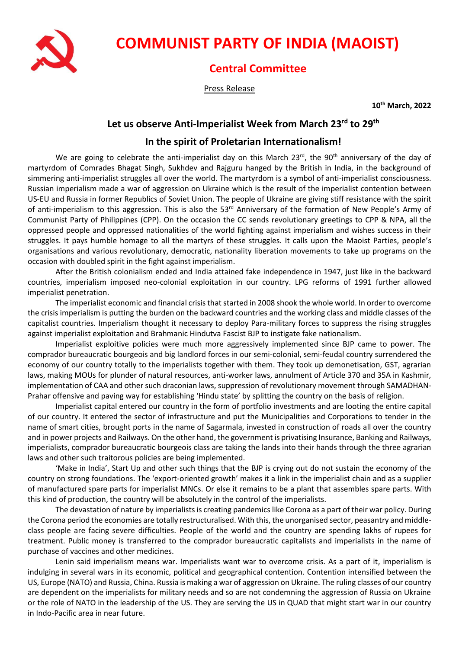

## **COMMUNIST PARTY OF INDIA (MAOIST)**

## **Central Committee**

Press Release

**10th March, 2022**

## **Let us observe Anti-Imperialist Week from March 23rd to 29th**

## **In the spirit of Proletarian Internationalism!**

We are going to celebrate the anti-imperialist day on this March 23rd, the 90<sup>th</sup> anniversary of the day of martyrdom of Comrades Bhagat Singh, Sukhdev and Rajguru hanged by the British in India, in the background of simmering anti-imperialist struggles all over the world. The martyrdom is a symbol of anti-imperialist consciousness. Russian imperialism made a war of aggression on Ukraine which is the result of the imperialist contention between US-EU and Russia in former Republics of Soviet Union. The people of Ukraine are giving stiff resistance with the spirit of anti-imperialism to this aggression. This is also the 53<sup>rd</sup> Anniversary of the formation of New People's Army of Communist Party of Philippines (CPP). On the occasion the CC sends revolutionary greetings to CPP & NPA, all the oppressed people and oppressed nationalities of the world fighting against imperialism and wishes success in their struggles. It pays humble homage to all the martyrs of these struggles. It calls upon the Maoist Parties, people's organisations and various revolutionary, democratic, nationality liberation movements to take up programs on the occasion with doubled spirit in the fight against imperialism.

After the British colonialism ended and India attained fake independence in 1947, just like in the backward countries, imperialism imposed neo-colonial exploitation in our country. LPG reforms of 1991 further allowed imperialist penetration.

The imperialist economic and financial crisis that started in 2008 shook the whole world. In order to overcome the crisis imperialism is putting the burden on the backward countries and the working class and middle classes of the capitalist countries. Imperialism thought it necessary to deploy Para-military forces to suppress the rising struggles against imperialist exploitation and Brahmanic Hindutva Fascist BJP to instigate fake nationalism.

Imperialist exploitive policies were much more aggressively implemented since BJP came to power. The comprador bureaucratic bourgeois and big landlord forces in our semi-colonial, semi-feudal country surrendered the economy of our country totally to the imperialists together with them. They took up demonetisation, GST, agrarian laws, making MOUs for plunder of natural resources, anti-worker laws, annulment of Article 370 and 35A in Kashmir, implementation of CAA and other such draconian laws, suppression of revolutionary movement through SAMADHAN-Prahar offensive and paving way for establishing 'Hindu state' by splitting the country on the basis of religion.

Imperialist capital entered our country in the form of portfolio investments and are looting the entire capital of our country. It entered the sector of infrastructure and put the Municipalities and Corporations to tender in the name of smart cities, brought ports in the name of Sagarmala, invested in construction of roads all over the country and in power projects and Railways. On the other hand, the government is privatising Insurance, Banking and Railways, imperialists, comprador bureaucratic bourgeois class are taking the lands into their hands through the three agrarian laws and other such traitorous policies are being implemented.

'Make in India', Start Up and other such things that the BJP is crying out do not sustain the economy of the country on strong foundations. The 'export-oriented growth' makes it a link in the imperialist chain and as a supplier of manufactured spare parts for imperialist MNCs. Or else it remains to be a plant that assembles spare parts. With this kind of production, the country will be absolutely in the control of the imperialists.

The devastation of nature by imperialists is creating pandemics like Corona as a part of their war policy. During the Corona period the economies are totally restructuralised. With this, the unorganised sector, peasantry and middleclass people are facing severe difficulties. People of the world and the country are spending lakhs of rupees for treatment. Public money is transferred to the comprador bureaucratic capitalists and imperialists in the name of purchase of vaccines and other medicines.

Lenin said imperialism means war. Imperialists want war to overcome crisis. As a part of it, imperialism is indulging in several wars in its economic, political and geographical contention. Contention intensified between the US, Europe (NATO) and Russia, China. Russia is making a war of aggression on Ukraine. The ruling classes of our country are dependent on the imperialists for military needs and so are not condemning the aggression of Russia on Ukraine or the role of NATO in the leadership of the US. They are serving the US in QUAD that might start war in our country in Indo-Pacific area in near future.